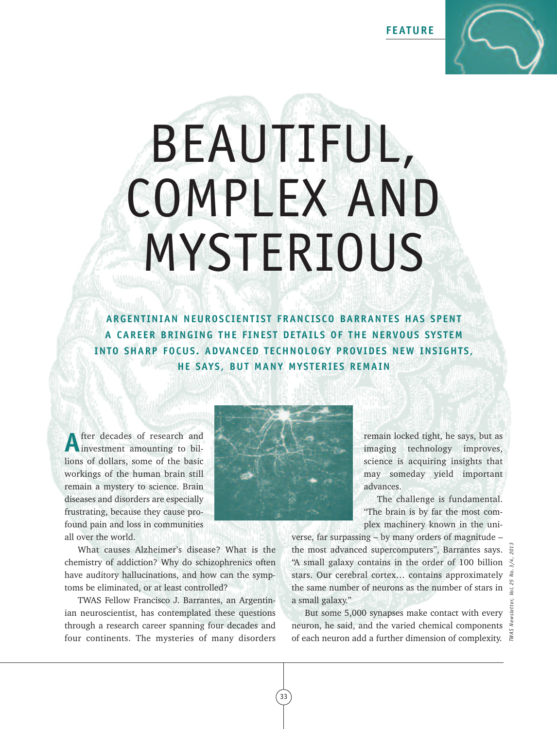**FEATURE**



# BEAUTIFUL, COMPLEX AND MYSTERIOUS

**ARGENT INIAN NEUROSCIENT IST FRANCISCO BARRANTES HAS SPENT A CAREER BRINGING THE FINEST DETAILS OF THE NERVOUS SYSTEM INTO SHARP FOCUS. ADVANCED TECHNOLOGY PROVIDES NEW INSIGHTS, HE SAYS, BUT MANY MYSTERIES REMAIN**

fter decades of research and investment amounting to billions of dollars, some of the basic workings of the human brain still remain a mystery to science. Brain diseases and disorders are especially frustrating, because they cause profound pain and loss in communities all over the world.

What causes Alzheimer's disease? What is the chemistry of addiction? Why do schizophrenics often have auditory hallucinations, and how can the symptoms be eliminated, or at least controlled?

TWAS Fellow Francisco J. Barrantes, an Argentinian neuroscientist, has contemplated these questions through a research career spanning four decades and four continents. The mysteries of many disorders



remain locked tight, he says, but as imaging technology improves, science is acquiring insights that may someday yield important advances.

The challenge is fundamental. "The brain is by far the most complex machinery known in the uni-

verse, far surpassing – by many orders of magnitude – the most advanced supercomputers", Barrantes says. "A small galaxy contains in the order of 100 billion  $\frac{1}{2}$ stars. Our cerebral cortex… contains approximately the same number of neurons as the number of stars in a small galaxy." the most advanced supercomputers", Barrantes says.  $\frac{12}{55}$ <br>
"A small galaxy contains in the order of 100 billion  $\frac{12}{55}$ <br>
stars. Our cerebral cortex... contains approximately  $\frac{12}{55}$ <br>
the same number of neuron

But some 5,000 synapses make contact with every neuron, he said, and the varied chemical components

33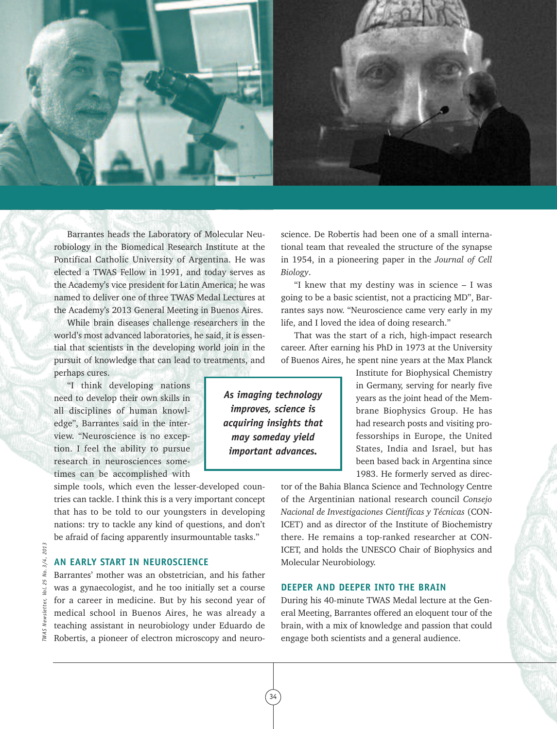

Barrantes heads the Laboratory of Molecular Neurobiology in the Biomedical Research Institute at the Pontifical Catholic University of Argentina. He was elected a TWAS Fellow in 1991, and today serves as the Academy's vice president for Latin America; he was named to deliver one of three TWAS Medal Lectures at the Academy's 2013 General Meeting in Buenos Aires.

While brain diseases challenge researchers in the world's most advanced laboratories, he said, it is essential that scientists in the developing world join in the pursuit of knowledge that can lead to treatments, and perhaps cures.

"I think developing nations need to develop their own skills in all disciplines of human knowledge", Barrantes said in the interview. "Neuroscience is no exception. I feel the ability to pursue research in neurosciences sometimes can be accomplished with

simple tools, which even the lesser-developed countries can tackle. I think this is a very important concept that has to be told to our youngsters in developing nations: try to tackle any kind of questions, and don't be afraid of facing apparently insurmountable tasks."

# **AN EARLY START IN NEUROSCIENCE**

Barrantes' mother was an obstetrician, and his father was a gynaecologist, and he too initially set a course for a career in medicine. But by his second year of medical school in Buenos Aires, he was already a teaching assistant in neurobiology under Eduardo de Robertis, a pioneer of electron microscopy and neuroscience. De Robertis had been one of a small international team that revealed the structure of the synapse in 1954, in a pioneering paper in the *Journal of Cell Biology*.

"I knew that my destiny was in science  $-$  I was going to be a basic scientist, not a practicing MD", Barrantes says now. "Neuroscience came very early in my life, and I loved the idea of doing research."

That was the start of a rich, high-impact research career. After earning his PhD in 1973 at the University of Buenos Aires, he spent nine years at the Max Planck

> Institute for Biophysical Chemistry in Germany, serving for nearly five years as the joint head of the Membrane Biophysics Group. He has had research posts and visiting professorships in Europe, the United States, India and Israel, but has been based back in Argentina since 1983. He formerly served as direc-

tor of the Bahia Blanca Science and Technology Centre of the Argentinian national research council *Consejo Nacional de Investigaciones Científicas y Técnicas* (CON-ICET) and as director of the Institute of Biochemistry there. He remains a top-ranked researcher at CON-ICET, and holds the UNESCO Chair of Biophysics and Molecular Neurobiology.

### **DEEPER AND DEEPER INTO THE BRAIN**

During his 40-minute TWAS Medal lecture at the General Meeting, Barrantes offered an eloquent tour of the brain, with a mix of knowledge and passion that could engage both scientists and a general audience.

2013 *TWAS Newsletter, Vol. 25 No. 3/4, 2013*  $3/4,$ Νo. 25 Vol. **WAS Newsletter,**  *As imaging technology improves, science is acquiring insights that may someday yield important advances.*

34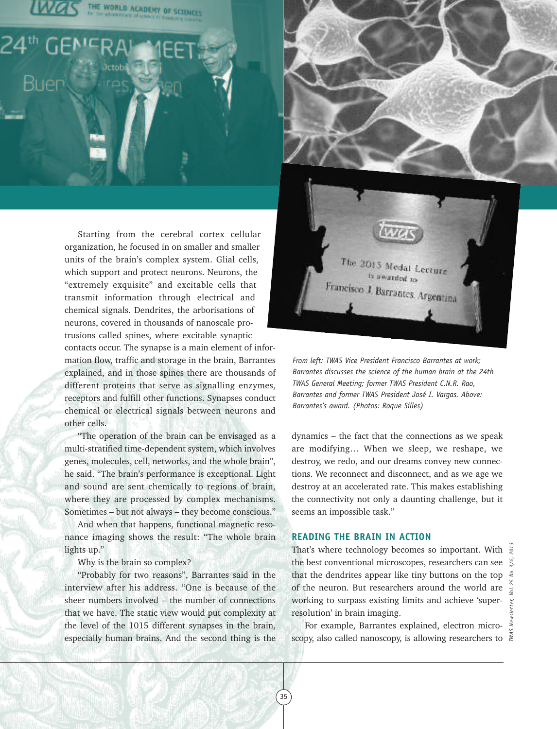



Starting from the cerebral cortex cellular organization, he focused in on smaller and smaller units of the brain's complex system. Glial cells, which support and protect neurons. Neurons, the "extremely exquisite" and excitable cells that transmit information through electrical and chemical signals. Dendrites, the arborisations of neurons, covered in thousands of nanoscale protrusions called spines, where excitable synaptic contacts occur. The synapse is a main element of information flow, traffic and storage in the brain, Barrantes explained, and in those spines there are thousands of different proteins that serve as signalling enzymes, receptors and fulfill other functions. Synapses conduct chemical or electrical signals between neurons and other cells.

"The operation of the brain can be envisaged as a multi-stratified time-dependent system, which involves genes, molecules, cell, networks, and the whole brain", he said. "The brain's performance is exceptional. Light and sound are sent chemically to regions of brain, where they are processed by complex mechanisms. Sometimes – but not always – they become conscious."

And when that happens, functional magnetic resonance imaging shows the result: "The whole brain lights up."

Why is the brain so complex?

"Probably for two reasons", Barrantes said in the interview after his address. "One is because of the sheer numbers involved – the number of connections that we have. The static view would put complexity at the level of the 1015 different synapses in the brain, especially human brains. And the second thing is the *From left: TWAS Vice President Francisco Barrantes at work; Barrantes discusses the science of the human brain at the 24th TWAS General Meeting; former TWAS President C.N.R. Rao, Barrantes and former TWAS President José I. Vargas. Above: Barrantes's award. (Photos: Roque Silles)*

The 2013 Medal Lecture is awarded to Francisco J. Barrantes, Argentina

dynamics – the fact that the connections as we speak are modifying… When we sleep, we reshape, we destroy, we redo, and our dreams convey new connections. We reconnect and disconnect, and as we age we destroy at an accelerated rate. This makes establishing the connectivity not only a daunting challenge, but it seems an impossible task."

### **READING THE BRAIN IN ACTION**

35

That's where technology becomes so important. With  $\ddot{g}$ the best conventional microscopes, researchers can see  $\mathcal{Z}$ that the dendrites appear like tiny buttons on the top of the neuron. But researchers around the world are working to surpass existing limits and achieve 'superresolution' in brain imaging.

For example, Barrantes explained, electron microscopy, also called nanoscopy, is allowing researchers to